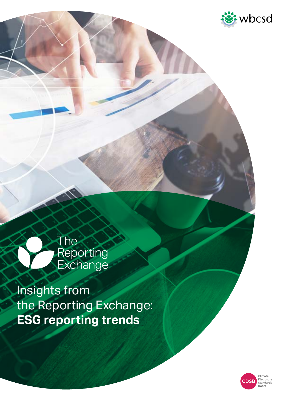



Insights from the Reporting Exchange: **ESG reporting trends**

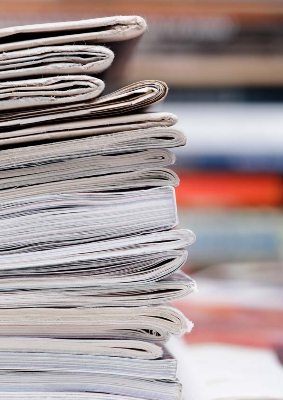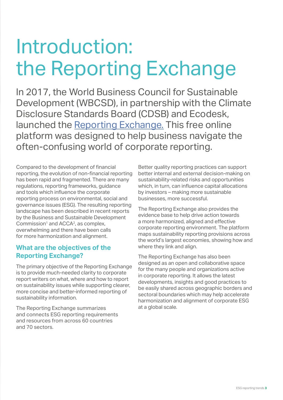# Introduction: the Reporting Exchange

In 2017, the World Business Council for Sustainable Development (WBCSD), in partnership with the Climate Disclosure Standards Board (CDSB) and Ecodesk, launched the [Reporting Exchange.](https://www.reportingexchange.com/) This free online platform was designed to help business navigate the often-confusing world of corporate reporting.

Compared to the development of financial reporting, the evolution of non-financial reporting has been rapid and fragmented. There are many regulations, reporting frameworks, guidance and tools which influence the corporate reporting process on environmental, social and governance issues (ESG). The resulting reporting landscape has been described in recent reports by the Business and Sustainable Development Commission<sup>1</sup> and ACCA<sup>2</sup>, as complex, overwhelming and there have been calls for more harmonization and alignment.

## **What are the objectives of the Reporting Exchange?**

The primary objective of the Reporting Exchange is to provide much-needed clarity to corporate report writers on what, where and how to report on sustainability issues while supporting clearer, more concise and better-informed reporting of sustainability information.

The Reporting Exchange summarizes and connects ESG reporting requirements and resources from across 60 countries and 70 sectors.

Better quality reporting practices can support better internal and external decision-making on sustainability-related risks and opportunities which, in turn, can influence capital allocations by investors – making more sustainable businesses, more successful.

The Reporting Exchange also provides the evidence base to help drive action towards a more harmonized, aligned and effective corporate reporting environment. The platform maps sustainability reporting provisions across the world's largest economies, showing how and where they link and align.

The Reporting Exchange has also been designed as an open and collaborative space for the many people and organizations active in corporate reporting. It allows the latest developments, insights and good practices to be easily shared across geographic borders and sectoral boundaries which may help accelerate harmonization and alignment of corporate ESG at a global scale.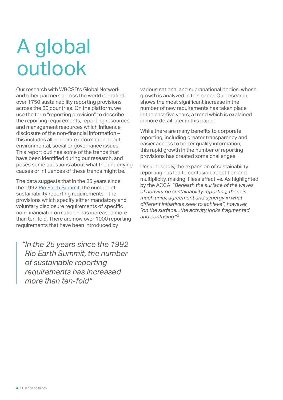# A global outlook

Our research with WBCSD's Global Network and other partners across the world identified over 1750 sustainability reporting provisions across the 60 countries. On the platform, we use the term "reporting provision" to describe the reporting requirements, reporting resources and management resources which influence disclosure of the non-financial information – this includes all corporate information about environmental, social or governance issues. This report outlines some of the trends that have been identified during our research, and poses some questions about what the underlying causes or influences of these trends might be.

The data suggests that in the 25 years since the 1992 [Rio Earth Summit,](http://www.un.org/geninfo/bp/enviro.html) the number of sustainability reporting requirements – the provisions which specify either mandatory and voluntary disclosure requirements of specific non-financial information – has increased more than ten-fold. There are now over 1000 reporting requirements that have been introduced by

*"In the 25 years since the 1992 Rio Earth Summit, the number of sustainable reporting requirements has increased more than ten-fold"*

various national and supranational bodies, whose growth is analyzed in this paper. Our research shows the most significant increase in the number of new requirements has taken place in the past five years, a trend which is explained in more detail later in this paper.

While there are many benefits to corporate reporting, including greater transparency and easier access to better quality information, this rapid growth in the number of reporting provisions has created some challenges.

Unsurprisingly, the expansion of sustainability reporting has led to confusion, repetition and multiplicity, making it less effective. As highlighted by the ACCA, "*Beneath the surface of the waves of activity on sustainability reporting, there is much unity, agreement and synergy in what different initiatives seek to achieve", however, "on the surface…the activity looks fragmented and confusing.*"2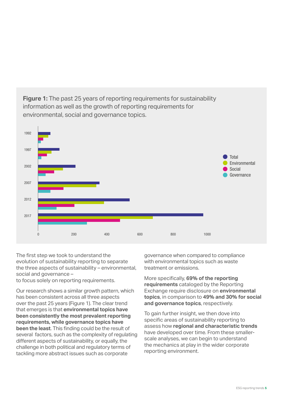**Figure 1:** The past 25 years of reporting requirements for sustainability information as well as the growth of reporting requirements for environmental, social and governance topics.



The first step we took to understand the evolution of sustainability reporting to separate the three aspects of sustainability – environmental, social and governance –

to focus solely on reporting requirements.

Our research shows a similar growth pattern, which has been consistent across all three aspects over the past 25 years (Figure 1). The clear trend that emerges is that **environmental topics have been consistently the most prevalent reporting requirements, while governance topics have been the least**. This finding could be the result of several factors, such as the complexity of regulating different aspects of sustainability, or equally, the challenge in both political and regulatory terms of tackling more abstract issues such as corporate

governance when compared to compliance with environmental topics such as waste treatment or emissions.

More specifically, **69% of the reporting requirements** cataloged by the Reporting Exchange require disclosure on **environmental topics**, in comparison to **49% and 30% for social and governance topics**, respectively.

To gain further insight, we then dove into specific areas of sustainability reporting to assess how **regional and characteristic trends** have developed over time. From these smallerscale analyses, we can begin to understand the mechanics at play in the wider corporate reporting environment.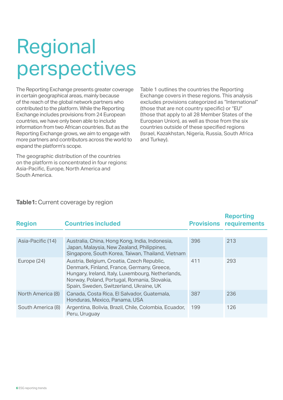# Regional perspectives

The Reporting Exchange presents greater coverage in certain geographical areas, mainly because of the reach of the global network partners who contributed to the platform. While the Reporting Exchange includes provisions from 24 European countries, we have only been able to include information from two African countries. But as the Reporting Exchange grows, we aim to engage with more partners and contributors across the world to expand the platform's scope.

The geographic distribution of the countries on the platform is concentrated in four regions: Asia-Pacific, Europe, North America and South America.

#### Table 1 outlines the countries the Reporting Exchange covers in these regions. This analysis excludes provisions categorized as "International" (those that are not country specific) or "EU" (those that apply to all 28 Member States of the European Union), as well as those from the six countries outside of these specified regions (Israel, Kazakhstan, Nigeria, Russia, South Africa and Turkey).

### **Table1:** Current coverage by region

| <b>Region</b>     | <b>Countries included</b>                                                                                                                                                                                                                |     | <b>Reporting</b><br><b>Provisions requirements</b> |
|-------------------|------------------------------------------------------------------------------------------------------------------------------------------------------------------------------------------------------------------------------------------|-----|----------------------------------------------------|
|                   |                                                                                                                                                                                                                                          |     |                                                    |
| Asia-Pacific (14) | Australia, China, Hong Kong, India, Indonesia,<br>Japan, Malaysia, New Zealand, Philippines,<br>Singapore, South Korea, Taiwan, Thailand, Vietnam                                                                                        | 396 | 213                                                |
| Europe (24)       | Austria, Belgium, Croatia, Czech Republic,<br>Denmark, Finland, France, Germany, Greece,<br>Hungary, Ireland, Italy, Luxembourg, Netherlands,<br>Norway, Poland, Portugal, Romania, Slovakia,<br>Spain, Sweden, Switzerland, Ukraine, UK | 411 | 293                                                |
| North America (8) | Canada, Costa Rica, El Salvador, Guatemala,<br>Honduras, Mexico, Panama, USA                                                                                                                                                             | 387 | 236                                                |
| South America (8) | Argentina, Bolivia, Brazil, Chile, Colombia, Ecuador,<br>Peru, Uruguay                                                                                                                                                                   | 199 | 126                                                |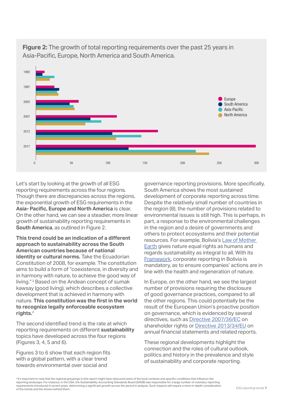

**Figure 2:** The growth of total reporting requirements over the past 25 years in Asia-Pacific, Europe, North America and South America.

Let's start by looking at the growth of all ESG reporting requirements across the four regions. Though there are discrepancies across the regions, the exponential growth of ESG requirements in the **Asia- Pacific, Europe and North America** is clear. On the other hand, we can see a steadier, more linear growth of sustainability reporting requirements in **South America**, as outlined in Figure 2.

**This trend could be an indication of a different approach to sustainability across the South American countries because of national identity or cultural norms.** Take the Ecuadorian Constitution of 2008, for example. The constitution aims to build a form of "coexistence, in diversity and in harmony with nature, to achieve the good way of living." 3 Based on the Andean concept of sumak kawsay (good living), which describes a collective development that is achieved in harmony with nature. **This constitution was the first in the world to recognize legally enforceable ecosystem rights.**<sup>4</sup>

The second identified trend is the rate at which reporting requirements on different **sustainability** topics have developed across the four regions (Figures 3, 4, 5 and 6).

Figures 3 to 6 show that each region fits with a global pattern, with a clear trend towards environmental over social and

governance reporting provisions. More specifically, South America shows the most sustained development of corporate reporting across time. Despite the relatively small number of countries in the region (8), the number of provisions related to environmental issues is still high. This is perhaps, in part, a response to the environmental challenges in the region and a desire of governments and others to protect ecosystems and their potential resources. For example, Bolivia's [Law of Mother](https://www.reportingexchange.com/reportingProvision/1953?entityVersionID=3222)  [Earth](https://www.reportingexchange.com/reportingProvision/1953?entityVersionID=3222) gives nature equal rights as humans and regards sustainability as integral to all. With its [Framework](https://www.reportingexchange.com/reportingProvision/1954?entityVersionID=3223), corporate reporting in Bolivia is mandatory, as to ensure companies' actions are in line with the health and regeneration of nature.

In Europe, on the other hand, we see the largest number of provisions requiring the disclosure of good governance practices, compared to all the other regions. This could potentially be the result of the European Union's proactive position on governance, which is evidenced by several directives, such as [Directive 2007/36/EC](https://www.reportingexchange.com/loginform?entityVersionID=1023) on shareholder rights or [Directive 2013/34/EU](https://www.reportingexchange.com/loginform?entityVersionID=1018) on annual financial statements and related reports.

These regional developments highlight the connection and the roles of cultural outlook, politics and history in the prevalence and style of sustainability and corporate reporting.

<sup>4</sup>It's important to note that the regional groupings in this report might have obscured some of the local contexts and specific conditions that influence the reporting landscape. For instance, in the USA, the Sustainability Accounting Standards Board (SASB) was responsible for a large number of voluntary reporting requirements introduced in recent years, determining a significant growth across the period in analysis. Such impacts will require a more in-depth consideration of the trends and the drivers behind them.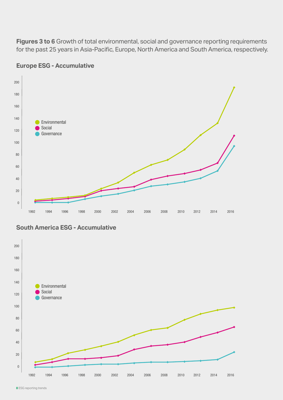**Figures 3 to 6** Growth of total environmental, social and governance reporting requirements for the past 25 years in Asia-Pacific, Europe, North America and South America, respectively.



# **Europe ESG - Accumulative**



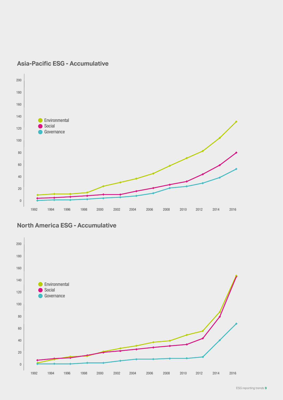

### **Asia-Pacific ESG - Accumulative**



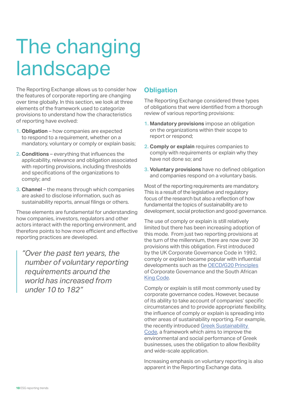# The changing landscape

The Reporting Exchange allows us to consider how the features of corporate reporting are changing over time globally. In this section, we look at three elements of the framework used to categorize provisions to understand how the characteristics of reporting have evolved:

- **1. Obligation** how companies are expected to respond to a requirement, whether on a mandatory, voluntary or comply or explain basis;
- **2. Conditions** everything that influences the applicability, relevance and obligation associated with reporting provisions, including thresholds and specifications of the organizations to comply; and
- **3. Channel** the means through which companies are asked to disclose information, such as sustainability reports, annual filings or others.

These elements are fundamental for understanding how companies, investors, regulators and other actors interact with the reporting environment, and therefore points to how more efficient and effective reporting practices are developed.

*"Over the past ten years, the number of voluntary reporting requirements around the world has increased from under 10 to 182"*

# **Obligation**

The Reporting Exchange considered three types of obligations that were identified from a thorough review of various reporting provisions:

- **1. Mandatory provisions** impose an obligation on the organizations within their scope to report or respond;
- **2. Comply or explain** requires companies to comply with requirements or explain why they have not done so; and
- **3. Voluntary provisions** have no defined obligation and companies respond on a voluntary basis.

Most of the reporting requirements are mandatory. This is a result of the legislative and regulatory focus of the research but also a reflection of how fundamental the topics of sustainability are to development, social protection and good governance.

The use of comply or explain is still relatively limited but there has been increasing adoption of this mode. From just two reporting provisions at the turn of the millennium, there are now over 30 provisions with this obligation. First introduced by the UK Corporate Governance Code in 1992, comply or explain became popular with influential developments such as the [OECD/G20 Principles](https://www.reportingexchange.com/loginform?entityVersionID=904) of Corporate Governance and the South African [King Code.](https://www.reportingexchange.com/loginform?entityVersionID=1547)

Comply or explain is still most commonly used by corporate governance codes. However, because of its ability to take account of companies' specific circumstances and to provide appropriate flexibility, the influence of comply or explain is spreading into other areas of sustainability reporting. For example, the recently introduced [Greek Sustainability](https://www.reportingexchange.com/loginform?entityVersionID=2620)  [Code,](https://www.reportingexchange.com/loginform?entityVersionID=2620) a framework which aims to improve the environmental and social performance of Greek businesses, uses the obligation to allow flexibility and wide-scale application.

Increasing emphasis on voluntary reporting is also apparent in the Reporting Exchange data.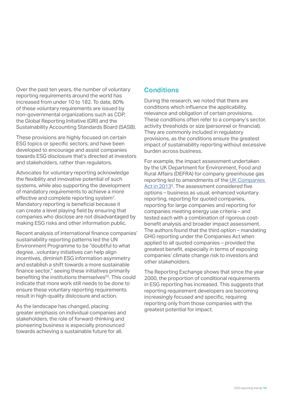Over the past ten years, the number of voluntary reporting requirements around the world has increased from under 10 to 182. To date, 80% of these voluntary requirements are issued by non-governmental organizations such as CDP, the Global Reporting Initiative (GRI) and the Sustainability Accounting Standards Board (SASB).

These provisions are highly focused on certain ESG topics or specific sectors, and have been developed to encourage and assist companies towards ESG disclosure that's directed at investors and stakeholders, rather than regulators.

Advocates for voluntary reporting acknowledge the flexibility and innovative potential of such systems, while also supporting the development of mandatory requirements to achieve a more effective and complete reporting system2. Mandatory reporting is beneficial because it can create a level playing field by ensuring that companies who disclose are not disadvantaged by making ESG risks and other information public.

Recent analysis of international finance companies' sustainability reporting patterns led the UN Environment Programme to be "doubtful to what degree…voluntary initiatives can help align incentives, diminish ESG information asymmetry and establish a shift towards a more sustainable finance sector," seeing these initiatives primarily benefiting the institutions themselves<sup>[5]</sup>. This could indicate that more work still needs to be done to ensure these voluntary reporting requirements result in high-quality dislcosure and action.

As the landscape has changed, placing greater emphasis on individual companies and stakeholders, the role of forward-thinking and pioneering business is especially pronounced towards achieving a sustainable future for all.

# **Conditions**

During the research, we noted that there are conditions which influence the applicability, relevance and obligation of certain provisions. These conditions often refer to a company's sector, activity thresholds or size (personnel or financial). They are commonly included in regulatory provisions, as the conditions ensure the greatest impact of sustainability reporting without excessive burden across business.

For example, the impact assessment undertaken by the UK Department for Environment, Food and Rural Affairs (DEFRA) for company greenhouse gas reporting led to amendments of the [UK Companies](https://www.reportingexchange.com/loginform?entityVersionID=620)  [Act in 2013](https://www.reportingexchange.com/loginform?entityVersionID=620)<sup>6</sup>. The assessment considered five options – business as usual, enhanced voluntary reporting, reporting for quoted companies, reporting for large companies and reporting for companies meeting energy use criteria – and tested each with a combination of rigorous costbenefit analysis and broader impact assessment. The authors found that the third option – mandating GHG reporting under the Companies Act when applied to all quoted companies – provided the greatest benefit, especially in terms of exposing companies' climate change risk to investors and other stakeholders.

The Reporting Exchange shows that since the year 2000, the proportion of conditional requirements in ESG reporting has increased. This suggests that reporting requirement developers are becoming increasingly focused and specific, requiring reporting only from those companies with the greatest potential for impact.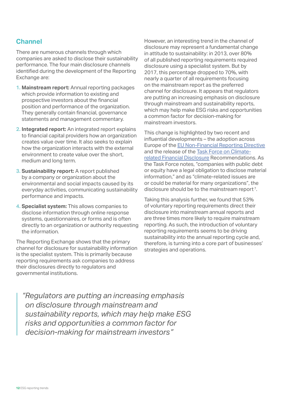### **Channel**

There are numerous channels through which companies are asked to disclose their sustainability performance. The four main disclosure channels identified during the development of the Reporting Exchange are:

- **1. Mainstream report:** Annual reporting packages which provide information to existing and prospective investors about the financial position and performance of the organization. They generally contain financial, governance statements and management commentary.
- **2. Integrated report:** An integrated report explains to financial capital providers how an organization creates value over time. It also seeks to explain how the organization interacts with the external environment to create value over the short, medium and long term.
- **3. Sustainability report:** A report published by a company or organization about the environmental and social impacts caused by its everyday activities, communicating sustainability performance and impacts.
- **4. Specialist system:** This allows companies to disclose information through online response systems, questionnaires, or forms and is often directly to an organization or authority requesting the information.

The Reporting Exchange shows that the primary channel for disclosure for sustainability information is the specialist system. This is primarily because reporting requirements ask companies to address their disclosures directly to regulators and governmental institutions.

However, an interesting trend in the channel of disclosure may represent a fundamental change in attitude to sustainability: in 2013, over 80% of all published reporting requirements required disclosure using a specialist system. But by 2017, this percentage dropped to 70%, with nearly a quarter of all requirements focusing on the mainstream report as the preferred channel for disclosure. It appears that regulators are putting an increasing emphasis on disclosure through mainstream and sustainability reports, which may help make ESG risks and opportunities a common factor for decision-making for mainstream investors.

This change is highlighted by two recent and influential developments – the adoption across Europe of the [EU Non-Financial Reporting Directive](https://www.reportingexchange.com/loginform?entityVersionID=3495) and the release of the [Task Force on Climate](https://www.reportingexchange.com/loginform?entityVersionID=2566)[related Financial Disclosure](https://www.reportingexchange.com/loginform?entityVersionID=2566) Recommendations. As the Task Force notes, "companies with public debt or equity have a legal obligation to disclose material information," and as "climate-related issues are or could be material for many organizations", the disclosure should be to the mainstream report 7.

Taking this analysis further, we found that 53% of voluntary reporting requirements direct their disclosure into mainstream annual reports and are three times more likely to require mainstream reporting. As such, the introduction of voluntary reporting requirements seems to be driving sustainability into the annual reporting cycle and, therefore, is turning into a core part of businesses' strategies and operations.

*"Regulators are putting an increasing emphasis on disclosure through mainstream and sustainability reports, which may help make ESG risks and opportunities a common factor for decision-making for mainstream investors"*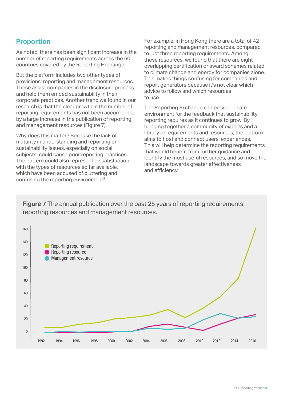## **Proportion**

As noted, there has been significant increase in the number of reporting requirements across the 60 countries covered by the Reporting Exchange.

But the platform includes two other types of provisions: reporting and management resources. These assist companies in the disclosure process and help them embed sustainability in their corporate practices. Another trend we found in our research is that the clear growth in the number of reporting requirements has not been accompanied by a large increase in the publication of reporting and management resources (Figure 7).

Why does this matter? Because the lack of maturity in understanding and reporting on sustainability issues, especially on social subjects, could cause poor reporting practices. The pattern could also represent dissatisfaction with the types of resources so far available, which have been accused of cluttering and confusing the reporting environment<sup>2</sup>.

For example, in Hong Kong there are a total of 42 reporting and management resources, compared to just three reporting requirements. Among these resources, we found that there are eight overlapping certification or award schemes related to climate change and energy for companies alone. This makes things confusing for companies and report generators because it's not clear which advice to follow and which resources to use.

The Reporting Exchange can provide a safe environment for the feedback that sustainability reporting requires as it continues to grow. By bringing together a community of experts and a library of requirements and resources, the platform aims to host and connect users' experiences. This will help determine the reporting requirements that would benefit from further guidance and identify the most useful resources, and so move the landscape towards greater effectiveness and efficiency.

**Figure 7** The annual publication over the past 25 years of reporting requirements, reporting resources and management resources.

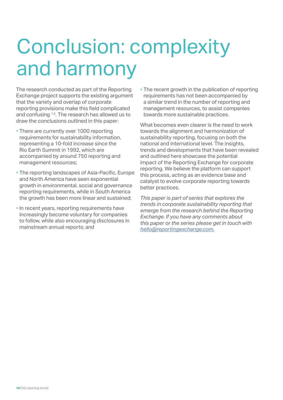# Conclusion: complexity and harmony

The research conducted as part of the Reporting Exchange project supports the existing argument that the variety and overlap of corporate reporting provisions make this field complicated and confusing <sup>1,2</sup>. The research has allowed us to draw the conclusions outlined in this paper:

- **•** There are currently over 1000 reporting requirements for sustainability information, representing a 10-fold increase since the Rio Earth Summit in 1992, which are accompanied by around 750 reporting and management resources;
- **•** The reporting landscapes of Asia-Pacific, Europe and North America have seen exponential growth in environmental, social and governance reporting requirements, while in South America the growth has been more linear and sustained;
- **•** In recent years, reporting requirements have increasingly become voluntary for companies to follow, while also encouraging disclosures in mainstream annual reports; and

**•** The recent growth in the publication of reporting requirements has not been accompanied by a similar trend in the number of reporting and management resources, to assist companies towards more sustainable practices.

What becomes even clearer is the need to work towards the alignment and harmonization of sustainability reporting, focusing on both the national and international level. The insights, trends and developments that have been revealed and outlined here showcase the potential impact of the Reporting Exchange for corporate reporting. We believe the platform can support this process, acting as an evidence base and catalyst to evolve corporate reporting towards better practices.

*This paper is part of series that explores the trends in corporate sustainability reporting that emerge from the research behind the Reporting Exchange. If you have any comments about this paper or the series please get in touch with [hello@reportingexchange.com.](mailto:hello%40reportingexchange.com.%20%20?subject=Mail%20from%20ESG%20reporting%20trends%20Report)*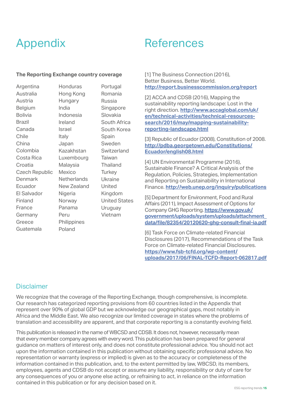# Appendix

#### **The Reporting Exchange country coverage**

| <b>Honduras</b><br>Portugal |                      |
|-----------------------------|----------------------|
| Hong Kong                   | Romania              |
| Hungary                     | <b>Russia</b>        |
| India                       | Singapore            |
| Indonesia                   | Slovakia             |
| Ireland                     | South Africa         |
| <b>Israel</b>               | South Korea          |
| Italy                       | Spain                |
| Japan                       | Sweden               |
| Kazakhstan                  | Switzerland          |
| Luxembourg                  | Taiwan               |
| Malaysia                    | Thailand             |
| Mexico                      | <b>Turkey</b>        |
| <b>Netherlands</b>          | Ukraine              |
| New Zealand                 | United               |
| Nigeria                     | Kingdom              |
| Norway                      | <b>United States</b> |
| Panama                      | Uruguay              |
| Peru                        | Vietnam              |
| Philippines                 |                      |
| Poland                      |                      |
|                             |                      |

# References

[1] The Business Connection (2016), Better Business, Better World. **[http://report.businesscommission.org/report](http://report.businesscommission.org/report )**

[2] ACCA and CDSB (2016), Mapping the sustainability reporting landscape: Lost in the right direction. **[http://www.accaglobal.com/uk/](http://www.accaglobal.com/uk/en/technical-activities/technical-resources-search/2016/may/mapping-sus) [en/technical-activities/technical-resources](http://www.accaglobal.com/uk/en/technical-activities/technical-resources-search/2016/may/mapping-sus)[search/2016/may/mapping-sustainability](http://www.accaglobal.com/uk/en/technical-activities/technical-resources-search/2016/may/mapping-sus)[reporting-landscape.html](http://www.accaglobal.com/uk/en/technical-activities/technical-resources-search/2016/may/mapping-sus)**

[3] Republic of Ecuador (2008), Constitution of 2008. **[http://pdba.georgetown.edu/Constitutions/](http://pdba.georgetown.edu/Constitutions/Ecuador/english08.html ) [Ecuador/english08.html](http://pdba.georgetown.edu/Constitutions/Ecuador/english08.html )**

[4] UN Environmental Programme (2016), Sustainable Finance? A Critical Analysis of the Regulation, Policies, Strategies, Implementation and Reporting on Sustainability in International Finance. **<http://web.unep.org/inquiry/publications>**

[5] Department for Environment, Food and Rural Affairs (2011), Impact Assessment of Options for Company GHG Reporting. **[https://www.gov.uk/](https://www.gov.uk/government/uploads/system/uploads/attachment_data/file/82354/20120620-ghg-consult) [government/uploads/system/uploads/attachment\\_](https://www.gov.uk/government/uploads/system/uploads/attachment_data/file/82354/20120620-ghg-consult) [data/file/82354/20120620-ghg-consult-final-ia.pdf](https://www.gov.uk/government/uploads/system/uploads/attachment_data/file/82354/20120620-ghg-consult)**

[6] Task Force on Climate-related Financial Disclosures (2017), Recommendations of the Task Force on Climate-related Financial Disclosures. **[https://www.fsb-tcfd.org/wp-content/](https://www.fsb-tcfd.org/wp-content/uploads/2017/06/FINAL-TCFD-Report-062817.pdf) [uploads/2017/06/FINAL-TCFD-Report-062817.pdf](https://www.fsb-tcfd.org/wp-content/uploads/2017/06/FINAL-TCFD-Report-062817.pdf)**

### **Disclaimer**

We recognize that the coverage of the Reporting Exchange, though comprehensive, is incomplete. Our research has categorized reporting provisions from 60 countries listed in the Appendix that represent over 90% of global GDP but we acknowledge our geographical gaps, most notably in Africa and the Middle East. We also recognize our limited coverage in states where the problems of translation and accessibility are apparent, and that corporate reporting is a constantly evolving field.

This publication is released in the name of WBCSD and CDSB. It does not, however, necessarily mean that every member company agrees with every word. This publication has been prepared for general guidance on matters of interest only, and does not constitute professional advice. You should not act upon the information contained in this publication without obtaining specific professional advice. No representation or warranty (express or implied) is given as to the accuracy or completeness of the information contained in this publication, and, to the extent permitted by law, WBCSD, its members, employees, agents and CDSB do not accept or assume any liability, responsibility or duty of care for any consequences of you or anyone else acting, or refraining to act, in reliance on the information contained in this publication or for any decision based on it.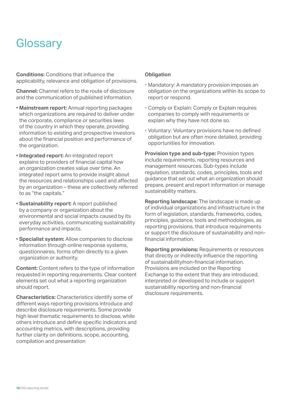# **Glossary**

**Conditions:** Conditions that influence the applicability, relevance and obligation of provisions.

**Channel:** Channel refers to the route of disclosure and the communication of published information.

- **Mainstream report:** Annual reporting packages which organizations are required to deliver under the corporate, compliance or securities laws of the country in which they operate, providing information to existing and prospective investors about the financial position and performance of the organization.
- **Integrated report:** An integrated report explains to providers of financial capital how an organization creates value over time. An integrated report aims to provide insight about the resources and relationships used and affected by an organization – these are collectively referred to as "the capitals."
- **Sustainability report:** A report published by a company or organization about the environmental and social impacts caused by its everyday activities, communicating sustainability performance and impacts.
- **Specialist system:** Allow companies to disclose information through online response systems, questionnaires, forms often directly to a given organization or authority.

**Content:** Content refers to the type of information requested in reporting requirements. Clear content elements set out what a reporting organization should report.

**Characteristics:** Characteristics identify some of different ways reporting provisions introduce and describe disclosure requirements. Some provide high level thematic requirements to disclose, while others introduce and define specific indicators and accounting metrics, with descriptions, providing further clarity on definitions, scope, accounting, compilation and presentation

#### **Obligation**

- **•** Mandatory: A mandatory provision imposes an obligation on the organizations within its scope to report or respond.
- **•** Comply or Explain: Comply or Explain requires companies to comply with requirements or explain why they have not done so.
- **•** Voluntary: Voluntary provisions have no defined obligation but are often more detailed, providing opportunities for innovation.

**Provision type and sub-type:** Provision types include requirements, reporting resources and management resources. Sub-types include regulation, standards, codes, principles, tools and guidance that set out what an organization should prepare, present and report information or manage sustainability matters.

**Reporting landscape:** The landscape is made up of individual organizations and infrastructure in the form of legislation, standards, frameworks, codes, principles, guidance, tools and methodologies, as reporting provisions, that introduce requirements or support the disclosure of sustainability and nonfinancial information.

**Reporting provisions:** Requirements or resources that directly or indirectly influence the reporting of sustainability/non-financial information. Provisions are included on the Reporting Exchange to the extent that they are introduced, interpreted or developed to include or support sustainability reporting and non-financial disclosure requirements.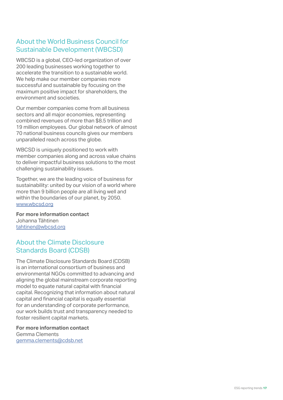# About the World Business Council for Sustainable Development (WBCSD)

WBCSD is a global, CEO-led organization of over 200 leading businesses working together to accelerate the transition to a sustainable world. We help make our member companies more successful and sustainable by focusing on the maximum positive impact for shareholders, the environment and societies.

Our member companies come from all business sectors and all major economies, representing combined revenues of more than \$8.5 trillion and 19 million employees. Our global network of almost 70 national business councils gives our members unparalleled reach across the globe.

WBCSD is uniquely positioned to work with member companies along and across value chains to deliver impactful business solutions to the most challenging sustainability issues.

Together, we are the leading voice of business for sustainability: united by our vision of a world where more than 9 billion people are all living well and within the boundaries of our planet, by 2050. [www.wbcsd.org](http://www.wbcsd.org)

#### **For more information contact**  Johanna Tähtinen tahtinen@wbcsd.org

## About the Climate Disclosure Standards Board (CDSB)

The Climate Disclosure Standards Board (CDSB) is an international consortium of business and environmental NGOs committed to advancing and aligning the global mainstream corporate reporting model to equate natural capital with financial capital. Recognizing that information about natural capital and financial capital is equally essential for an understanding of corporate performance, our work builds trust and transparency needed to foster resilient capital markets.

#### **For more information contact**

Gemma Clements [gemma.clements@cdsb.net](mailto:gemma.clements%40cdsb.net?subject=Email%20from%20China%20Case%20Study)